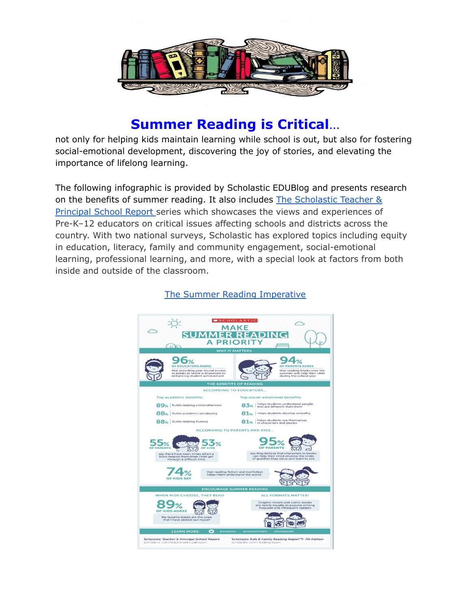

## **Summer Reading is Critical**…

not only for helping kids maintain learning while school is out, but also for fostering social-emotional development, discovering the joy of stories, and elevating the importance of lifelong learning.

The following infographic is provided by Scholastic EDUBlog and presents research on the benefits of summer reading. It also includes The [Scholastic](https://www.scholastic.com/site/teacher-principal-school-report.html) Teacher & [Principal](https://www.scholastic.com/site/teacher-principal-school-report.html) School Report series which showcases the views and experiences of Pre-K–12 educators on critical issues affecting schools and districts across the country. With two national surveys, Scholastic has explored topics including equity in education, literacy, family and community engagement, social-emotional learning, professional learning, and more, with a special look at factors from both inside and outside of the classroom.



## The Summer Reading [Imperative](https://www.scholastic.com/readingreport/summer.html)